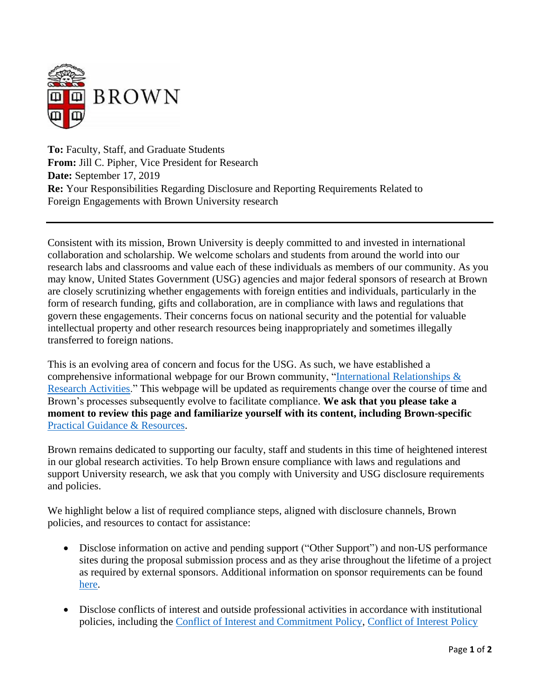

**To:** Faculty, Staff, and Graduate Students **From:** Jill C. Pipher, Vice President for Research **Date:** September 17, 2019 **Re:** Your Responsibilities Regarding Disclosure and Reporting Requirements Related to Foreign Engagements with Brown University research

Consistent with its mission, Brown University is deeply committed to and invested in international collaboration and scholarship. We welcome scholars and students from around the world into our research labs and classrooms and value each of these individuals as members of our community. As you may know, United States Government (USG) agencies and major federal sponsors of research at Brown are closely scrutinizing whether engagements with foreign entities and individuals, particularly in the form of research funding, gifts and collaboration, are in compliance with laws and regulations that govern these engagements. Their concerns focus on national security and the potential for valuable intellectual property and other research resources being inappropriately and sometimes illegally transferred to foreign nations.

This is an evolving area of concern and focus for the USG. As such, we have established a comprehensive informational webpage for our Brown community, ["International Relationships &](https://www.brown.edu/research/conducting-research-brown/international-relationships-research-activities)  [Research Activities.](https://www.brown.edu/research/conducting-research-brown/international-relationships-research-activities)" This webpage will be updated as requirements change over the course of time and Brown's processes subsequently evolve to facilitate compliance. **We ask that you please take a moment to review this page and familiarize yourself with its content, including Brown-specific** [Practical Guidance & Resources.](https://www.brown.edu/research/conducting-research-brown/international-relationships-research-activities#Practicalguidance)

Brown remains dedicated to supporting our faculty, staff and students in this time of heightened interest in our global research activities. To help Brown ensure compliance with laws and regulations and support University research, we ask that you comply with University and USG disclosure requirements and policies.

We highlight below a list of required compliance steps, aligned with disclosure channels, Brown policies, and resources to contact for assistance:

- Disclose information on active and pending support ("Other Support") and non-US performance sites during the proposal submission process and as they arise throughout the lifetime of a project as required by external sponsors. Additional information on sponsor requirements can be found [here.](https://www.brown.edu/research/conducting-research-brown/preparing-and-submitting-proposal/proposal-review-submission-osp/identifying-all-sources-support-proposals-external-funding)
- Disclose conflicts of interest and outside professional activities in accordance with institutional policies, including the [Conflict of Interest and Commitment Policy,](https://www.brown.edu/about/administration/policies/conflict-interest-and-commitment-20065) [Conflict of Interest Policy](https://www.brown.edu/research/COIpolicy)